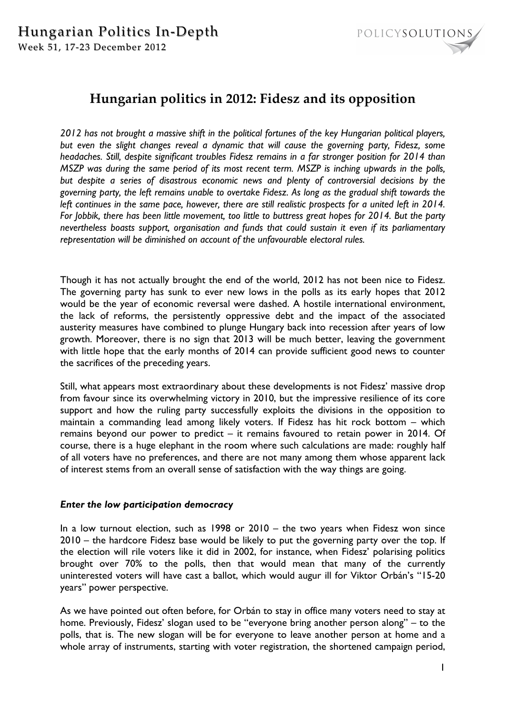

# **Hungarian politics in 2012: Fidesz and its opposition**

*2012 has not brought a massive shift in the political fortunes of the key Hungarian political players, but even the slight changes reveal a dynamic that will cause the governing party, Fidesz, some headaches. Still, despite significant troubles Fidesz remains in a far stronger position for 2014 than MSZP was during the same period of its most recent term. MSZP is inching upwards in the polls, but despite a series of disastrous economic news and plenty of controversial decisions by the governing party, the left remains unable to overtake Fidesz. As long as the gradual shift towards the left continues in the same pace, however, there are still realistic prospects for a united left in 2014. For Jobbik, there has been little movement, too little to buttress great hopes for 2014. But the party nevertheless boasts support, organisation and funds that could sustain it even if its parliamentary representation will be diminished on account of the unfavourable electoral rules.* 

Though it has not actually brought the end of the world, 2012 has not been nice to Fidesz. The governing party has sunk to ever new lows in the polls as its early hopes that 2012 would be the year of economic reversal were dashed. A hostile international environment, the lack of reforms, the persistently oppressive debt and the impact of the associated austerity measures have combined to plunge Hungary back into recession after years of low growth. Moreover, there is no sign that 2013 will be much better, leaving the government with little hope that the early months of 2014 can provide sufficient good news to counter the sacrifices of the preceding years.

Still, what appears most extraordinary about these developments is not Fidesz' massive drop from favour since its overwhelming victory in 2010, but the impressive resilience of its core support and how the ruling party successfully exploits the divisions in the opposition to maintain a commanding lead among likely voters. If Fidesz has hit rock bottom – which remains beyond our power to predict – it remains favoured to retain power in 2014. Of course, there is a huge elephant in the room where such calculations are made: roughly half of all voters have no preferences, and there are not many among them whose apparent lack of interest stems from an overall sense of satisfaction with the way things are going.

## *Enter the low participation democracy*

In a low turnout election, such as 1998 or 2010 – the two years when Fidesz won since 2010 – the hardcore Fidesz base would be likely to put the governing party over the top. If the election will rile voters like it did in 2002, for instance, when Fidesz' polarising politics brought over 70% to the polls, then that would mean that many of the currently uninterested voters will have cast a ballot, which would augur ill for Viktor Orbán's "15-20 years" power perspective.

As we have pointed out often before, for Orbán to stay in office many voters need to stay at home. Previously, Fidesz' slogan used to be "everyone bring another person along" – to the polls, that is. The new slogan will be for everyone to leave another person at home and a whole array of instruments, starting with voter registration, the shortened campaign period,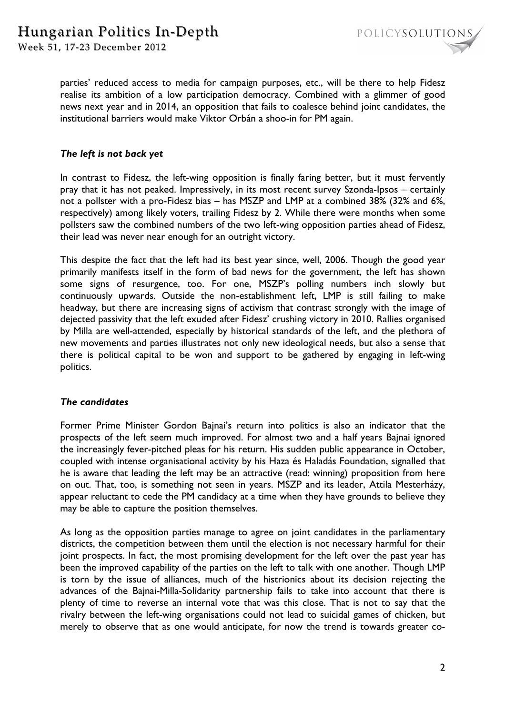

parties' reduced access to media for campaign purposes, etc., will be there to help Fidesz realise its ambition of a low participation democracy. Combined with a glimmer of good news next year and in 2014, an opposition that fails to coalesce behind joint candidates, the institutional barriers would make Viktor Orbán a shoo-in for PM again.

## *The left is not back yet*

In contrast to Fidesz, the left-wing opposition is finally faring better, but it must fervently pray that it has not peaked. Impressively, in its most recent survey Szonda-Ipsos – certainly not a pollster with a pro-Fidesz bias – has MSZP and LMP at a combined 38% (32% and 6%, respectively) among likely voters, trailing Fidesz by 2. While there were months when some pollsters saw the combined numbers of the two left-wing opposition parties ahead of Fidesz, their lead was never near enough for an outright victory.

This despite the fact that the left had its best year since, well, 2006. Though the good year primarily manifests itself in the form of bad news for the government, the left has shown some signs of resurgence, too. For one, MSZP's polling numbers inch slowly but continuously upwards. Outside the non-establishment left, LMP is still failing to make headway, but there are increasing signs of activism that contrast strongly with the image of dejected passivity that the left exuded after Fidesz' crushing victory in 2010. Rallies organised by Milla are well-attended, especially by historical standards of the left, and the plethora of new movements and parties illustrates not only new ideological needs, but also a sense that there is political capital to be won and support to be gathered by engaging in left-wing politics.

## *The candidates*

Former Prime Minister Gordon Bajnai's return into politics is also an indicator that the prospects of the left seem much improved. For almost two and a half years Bajnai ignored the increasingly fever-pitched pleas for his return. His sudden public appearance in October, coupled with intense organisational activity by his Haza és Haladás Foundation, signalled that he is aware that leading the left may be an attractive (read: winning) proposition from here on out. That, too, is something not seen in years. MSZP and its leader, Attila Mesterházy, appear reluctant to cede the PM candidacy at a time when they have grounds to believe they may be able to capture the position themselves.

As long as the opposition parties manage to agree on joint candidates in the parliamentary districts, the competition between them until the election is not necessary harmful for their joint prospects. In fact, the most promising development for the left over the past year has been the improved capability of the parties on the left to talk with one another. Though LMP is torn by the issue of alliances, much of the histrionics about its decision rejecting the advances of the Bajnai-Milla-Solidarity partnership fails to take into account that there is plenty of time to reverse an internal vote that was this close. That is not to say that the rivalry between the left-wing organisations could not lead to suicidal games of chicken, but merely to observe that as one would anticipate, for now the trend is towards greater co